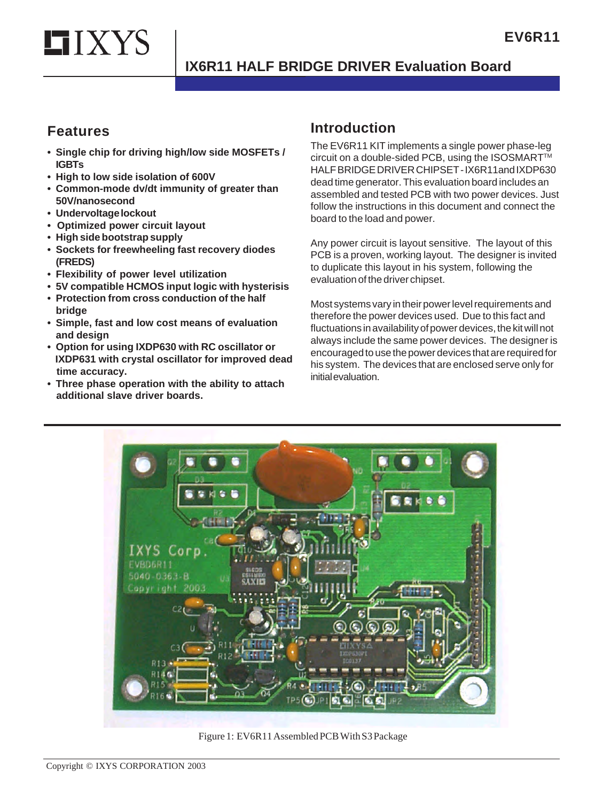#### **IX6R11 HALF BRIDGE DRIVER Evaluation Board**

#### **Features**

**LIXYS** 

- **Single chip for driving high/low side MOSFETs / IGBTs**
- **High to low side isolation of 600V**
- **Common-mode dv/dt immunity of greater than 50V/nanosecond**
- **Undervoltage lockout**
- **Optimized power circuit layout**
- **High side bootstrap supply**
- **Sockets for freewheeling fast recovery diodes (FREDS)**
- **Flexibility of power level utilization**
- **5V compatible HCMOS input logic with hysterisis**
- **Protection from cross conduction of the half bridge**
- **Simple, fast and low cost means of evaluation and design**
- **Option for using IXDP630 with RC oscillator or IXDP631 with crystal oscillator for improved dead time accuracy.**
- **Three phase operation with the ability to attach additional slave driver boards.**

#### **Introduction**

The EV6R11 KIT implements a single power phase-leg circuit on a double-sided PCB, using the ISOSMART™ HALF BRIDGE DRIVER CHIPSET - IX6R11and IXDP630 dead time generator. This evaluation board includes an assembled and tested PCB with two power devices. Just follow the instructions in this document and connect the board to the load and power.

Any power circuit is layout sensitive. The layout of this PCB is a proven, working layout. The designer is invited to duplicate this layout in his system, following the evaluation of the driver chipset.

Most systems vary in their power level requirements and therefore the power devices used. Due to this fact and fluctuations in availability of power devices, the kit will not always include the same power devices. The designer is encouraged to use the power devices that are required for his system. The devices that are enclosed serve only for initial evaluation.



Figure 1: EV6R11 Assembled PCB With S3 Package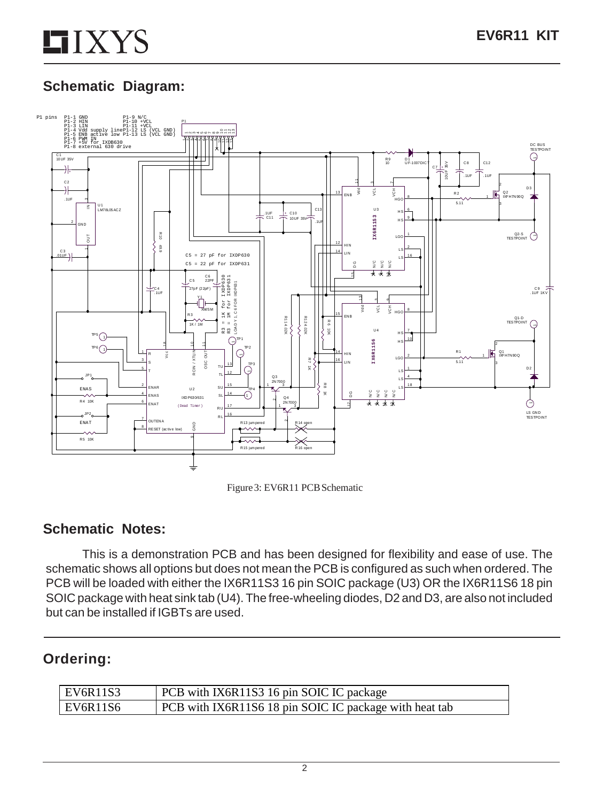### **Schematic Diagram:**



Figure 3: EV6R11 PCB Schematic

#### **Schematic Notes:**

This is a demonstration PCB and has been designed for flexibility and ease of use. The schematic shows all options but does not mean the PCB is configured as such when ordered. The PCB will be loaded with either the IX6R11S3 16 pin SOIC package (U3) OR the IX6R11S6 18 pin SOIC package with heat sink tab (U4). The free-wheeling diodes, D2 and D3, are also not included but can be installed if IGBTs are used.

#### **Ordering:**

| EV6R11S3 | <b>PCB</b> with IX6R11S3 16 pin SOIC IC package               |
|----------|---------------------------------------------------------------|
| EV6R11S6 | <b>PCB</b> with IX6R11S6 18 pin SOIC IC package with heat tab |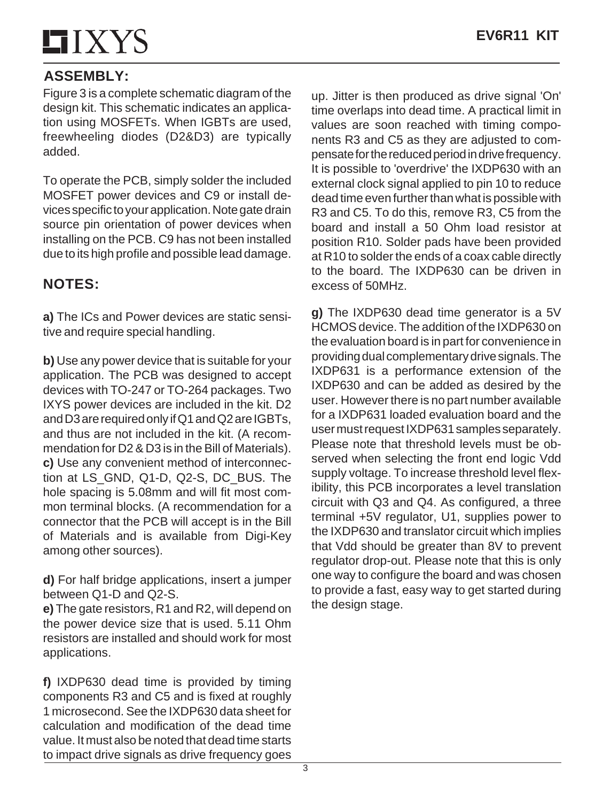# **HIXYS**

#### **ASSEMBLY:**

Figure 3 is a complete schematic diagram of the design kit. This schematic indicates an application using MOSFETs. When IGBTs are used, freewheeling diodes (D2&D3) are typically added.

To operate the PCB, simply solder the included MOSFET power devices and C9 or install devices specific to your application. Note gate drain source pin orientation of power devices when installing on the PCB. C9 has not been installed due to its high profile and possible lead damage.

#### **NOTES:**

**a)** The ICs and Power devices are static sensitive and require special handling.

**b)** Use any power device that is suitable for your application. The PCB was designed to accept devices with TO-247 or TO-264 packages. Two IXYS power devices are included in the kit. D2 and D3 are required only if Q1 and Q2 are IGBTs, and thus are not included in the kit. (A recommendation for D2 & D3 is in the Bill of Materials). **c)** Use any convenient method of interconnection at LS\_GND, Q1-D, Q2-S, DC\_BUS. The hole spacing is 5.08mm and will fit most common terminal blocks. (A recommendation for a connector that the PCB will accept is in the Bill of Materials and is available from Digi-Key among other sources).

**d)** For half bridge applications, insert a jumper between Q1-D and Q2-S.

**e)** The gate resistors, R1 and R2, will depend on the power device size that is used. 5.11 Ohm resistors are installed and should work for most applications.

**f)** IXDP630 dead time is provided by timing components R3 and C5 and is fixed at roughly 1 microsecond. See the IXDP630 data sheet for calculation and modification of the dead time value. It must also be noted that dead time starts to impact drive signals as drive frequency goes

up. Jitter is then produced as drive signal 'On' time overlaps into dead time. A practical limit in values are soon reached with timing components R3 and C5 as they are adjusted to compensate for the reduced period in drive frequency. It is possible to 'overdrive' the IXDP630 with an external clock signal applied to pin 10 to reduce dead time even further than what is possible with R3 and C5. To do this, remove R3, C5 from the board and install a 50 Ohm load resistor at position R10. Solder pads have been provided at R10 to solder the ends of a coax cable directly to the board. The IXDP630 can be driven in excess of 50MHz.

**g)** The IXDP630 dead time generator is a 5V HCMOS device. The addition of the IXDP630 on the evaluation board is in part for convenience in providing dual complementary drive signals. The IXDP631 is a performance extension of the IXDP630 and can be added as desired by the user. However there is no part number available for a IXDP631 loaded evaluation board and the user must request IXDP631 samples separately. Please note that threshold levels must be observed when selecting the front end logic Vdd supply voltage. To increase threshold level flexibility, this PCB incorporates a level translation circuit with Q3 and Q4. As configured, a three terminal +5V regulator, U1, supplies power to the IXDP630 and translator circuit which implies that Vdd should be greater than 8V to prevent regulator drop-out. Please note that this is only one way to configure the board and was chosen to provide a fast, easy way to get started during the design stage.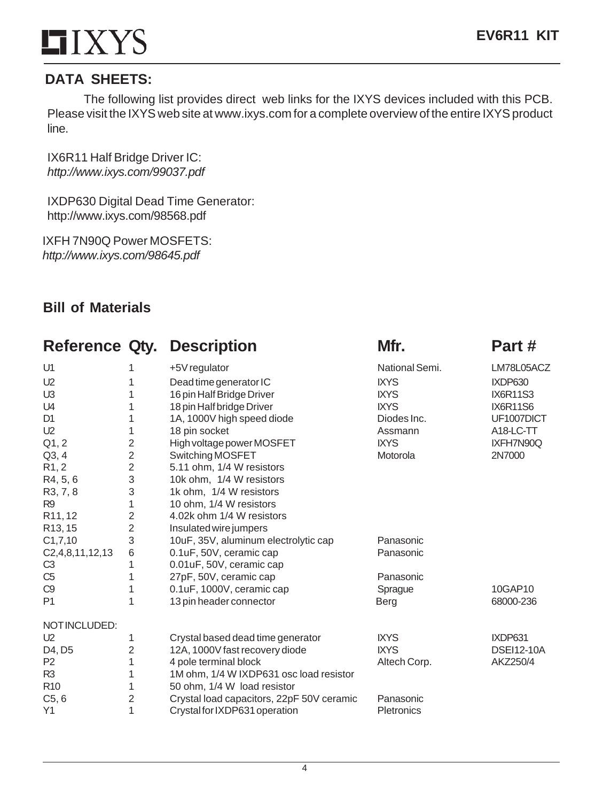# **HIXYS**

## **DATA SHEETS:**

The following list provides direct web links for the IXYS devices included with this PCB. Please visit the IXYS web site at www.ixys.com for a complete overview of the entire IXYS product line.

IX6R11 Half Bridge Driver IC: *http://www.ixys.com/99037.pdf*

IXDP630 Digital Dead Time Generator: http://www.ixys.com/98568.pdf

IXFH 7N90Q Power MOSFETS: *http://www.ixys.com/98645.pdf*

### **Bill of Materials**

| <b>Reference Qty.</b>             |                | <b>Description</b>                        | Mfr.           | Part #            |
|-----------------------------------|----------------|-------------------------------------------|----------------|-------------------|
| U1                                | 1              | +5V regulator                             | National Semi. | LM78L05ACZ        |
| U <sub>2</sub>                    | 1              | Dead time generator IC                    | <b>IXYS</b>    | IXDP630           |
| U <sub>3</sub>                    | 1              | 16 pin Half Bridge Driver                 | <b>IXYS</b>    | IX6R11S3          |
| U <sub>4</sub>                    | 1              | 18 pin Half bridge Driver                 | <b>IXYS</b>    | <b>IX6R11S6</b>   |
| D <sub>1</sub>                    | 1              | 1A, 1000V high speed diode                | Diodes Inc.    | UF1007DICT        |
| U <sub>2</sub>                    | 1              | 18 pin socket                             | Assmann        | A18-LC-TT         |
| Q1, 2                             | $\overline{2}$ | High voltage power MOSFET                 | <b>IXYS</b>    | IXFH7N90Q         |
| Q3, 4                             | $\overline{2}$ | Switching MOSFET                          | Motorola       | 2N7000            |
| R1, 2                             | $\overline{2}$ | 5.11 ohm, 1/4 W resistors                 |                |                   |
| R4, 5, 6                          | 3              | 10k ohm, 1/4 W resistors                  |                |                   |
| R <sub>3</sub> , 7, 8             | 3              | 1k ohm, 1/4 W resistors                   |                |                   |
| R <sub>9</sub>                    | 1              | 10 ohm, 1/4 W resistors                   |                |                   |
| R <sub>11</sub> , 12              | $\overline{2}$ | 4.02k ohm 1/4 W resistors                 |                |                   |
| R13, 15                           | $\overline{2}$ | Insulated wire jumpers                    |                |                   |
| C1,7,10                           | 3              | 10uF, 35V, aluminum electrolytic cap      | Panasonic      |                   |
| C <sub>2</sub> , 4, 8, 11, 12, 13 | 6              | 0.1uF, 50V, ceramic cap                   | Panasonic      |                   |
| C <sub>3</sub>                    |                | 0.01uF, 50V, ceramic cap                  |                |                   |
| C <sub>5</sub>                    | 1              | 27pF, 50V, ceramic cap                    | Panasonic      |                   |
| C <sub>9</sub>                    | 1              | 0.1uF, 1000V, ceramic cap                 | Sprague        | 10GAP10           |
| P <sub>1</sub>                    | 1              | 13 pin header connector                   | Berg           | 68000-236         |
| NOTINCLUDED:                      |                |                                           |                |                   |
| U <sub>2</sub>                    | 1              | Crystal based dead time generator         | <b>IXYS</b>    | IXDP631           |
| D4, D5                            | 2              | 12A, 1000V fast recovery diode            | <b>IXYS</b>    | <b>DSEI12-10A</b> |
| P <sub>2</sub>                    | 1              | 4 pole terminal block                     | Altech Corp.   | AKZ250/4          |
| R <sub>3</sub>                    | 1              | 1M ohm, 1/4 W IXDP631 osc load resistor   |                |                   |
| R <sub>10</sub>                   | 1              | 50 ohm, 1/4 W load resistor               |                |                   |
| C5, 6                             | 2              | Crystal load capacitors, 22pF 50V ceramic | Panasonic      |                   |
| Y1                                | 1              | Crystal for IXDP631 operation             | Pletronics     |                   |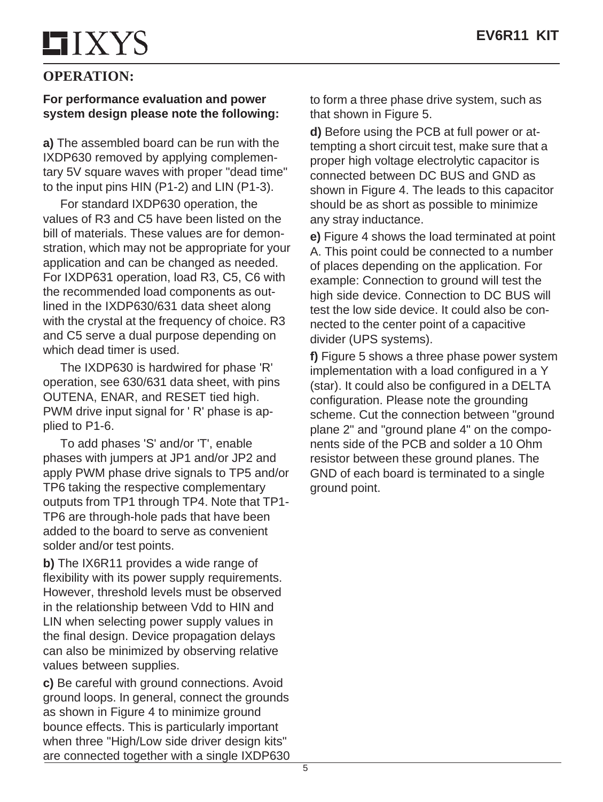# **HIXYS**

#### **OPERATION:**

#### **For performance evaluation and power system design please note the following:**

**a)** The assembled board can be run with the IXDP630 removed by applying complementary 5V square waves with proper "dead time" to the input pins HIN (P1-2) and LIN (P1-3).

For standard IXDP630 operation, the values of R3 and C5 have been listed on the bill of materials. These values are for demonstration, which may not be appropriate for your application and can be changed as needed. For IXDP631 operation, load R3, C5, C6 with the recommended load components as outlined in the IXDP630/631 data sheet along with the crystal at the frequency of choice. R3 and C5 serve a dual purpose depending on which dead timer is used.

The IXDP630 is hardwired for phase 'R' operation, see 630/631 data sheet, with pins OUTENA, ENAR, and RESET tied high. PWM drive input signal for ' R' phase is applied to P1-6.

To add phases 'S' and/or 'T', enable phases with jumpers at JP1 and/or JP2 and apply PWM phase drive signals to TP5 and/or TP6 taking the respective complementary outputs from TP1 through TP4. Note that TP1- TP6 are through-hole pads that have been added to the board to serve as convenient solder and/or test points.

**b)** The IX6R11 provides a wide range of flexibility with its power supply requirements. However, threshold levels must be observed in the relationship between Vdd to HIN and LIN when selecting power supply values in the final design. Device propagation delays can also be minimized by observing relative values between supplies.

**c)** Be careful with ground connections. Avoid ground loops. In general, connect the grounds as shown in Figure 4 to minimize ground bounce effects. This is particularly important when three "High/Low side driver design kits" are connected together with a single IXDP630 to form a three phase drive system, such as that shown in Figure 5.

**d)** Before using the PCB at full power or attempting a short circuit test, make sure that a proper high voltage electrolytic capacitor is connected between DC BUS and GND as shown in Figure 4. The leads to this capacitor should be as short as possible to minimize any stray inductance.

**e)** Figure 4 shows the load terminated at point A. This point could be connected to a number of places depending on the application. For example: Connection to ground will test the high side device. Connection to DC BUS will test the low side device. It could also be connected to the center point of a capacitive divider (UPS systems).

**f)** Figure 5 shows a three phase power system implementation with a load configured in a Y (star). It could also be configured in a DELTA configuration. Please note the grounding scheme. Cut the connection between "ground plane 2" and "ground plane 4" on the components side of the PCB and solder a 10 Ohm resistor between these ground planes. The GND of each board is terminated to a single ground point.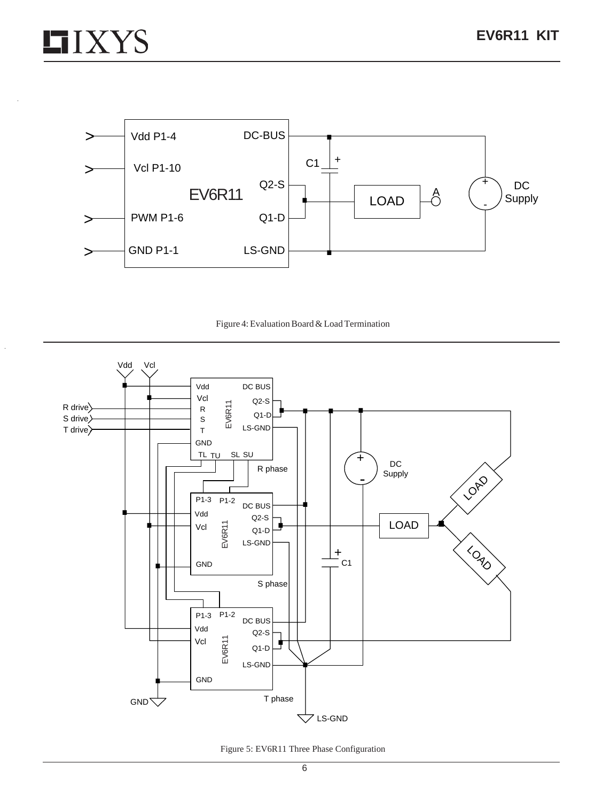







Figure 5: EV6R11 Three Phase Configuration